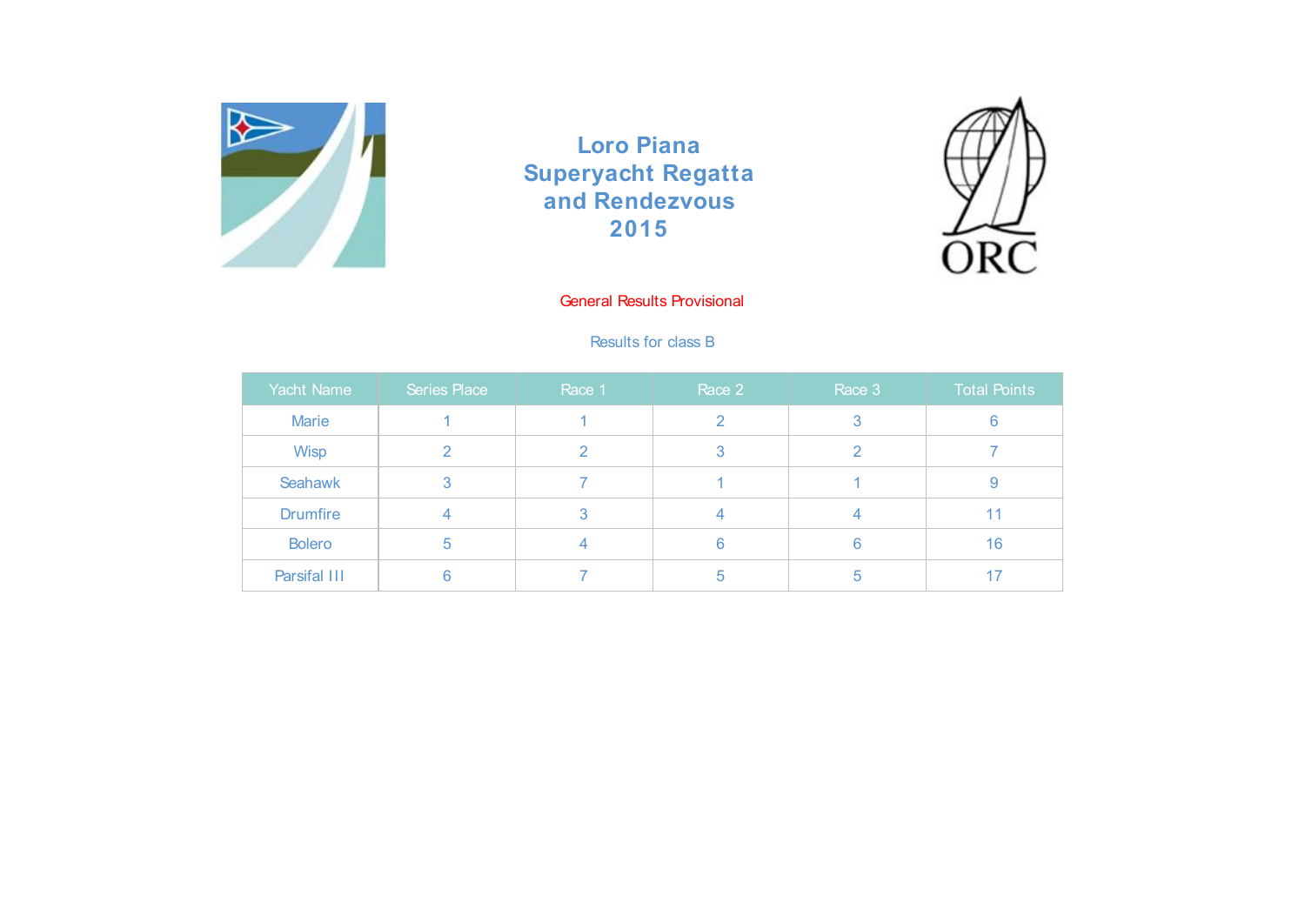



# General Results Provisional

### Results for class B

| Yacht Name      | Series Place | Race 1 | Race 2 | Race 3 | <b>Total Points</b> |
|-----------------|--------------|--------|--------|--------|---------------------|
| <b>Marie</b>    |              |        |        |        |                     |
| Wisp            |              |        |        |        |                     |
| Seahawk         | 3            |        |        |        | У                   |
| <b>Drumfire</b> |              |        |        |        | 11                  |
| <b>Bolero</b>   | b            |        |        | 6      | 16                  |
| Parsifal III    |              |        | b      | b      | 17                  |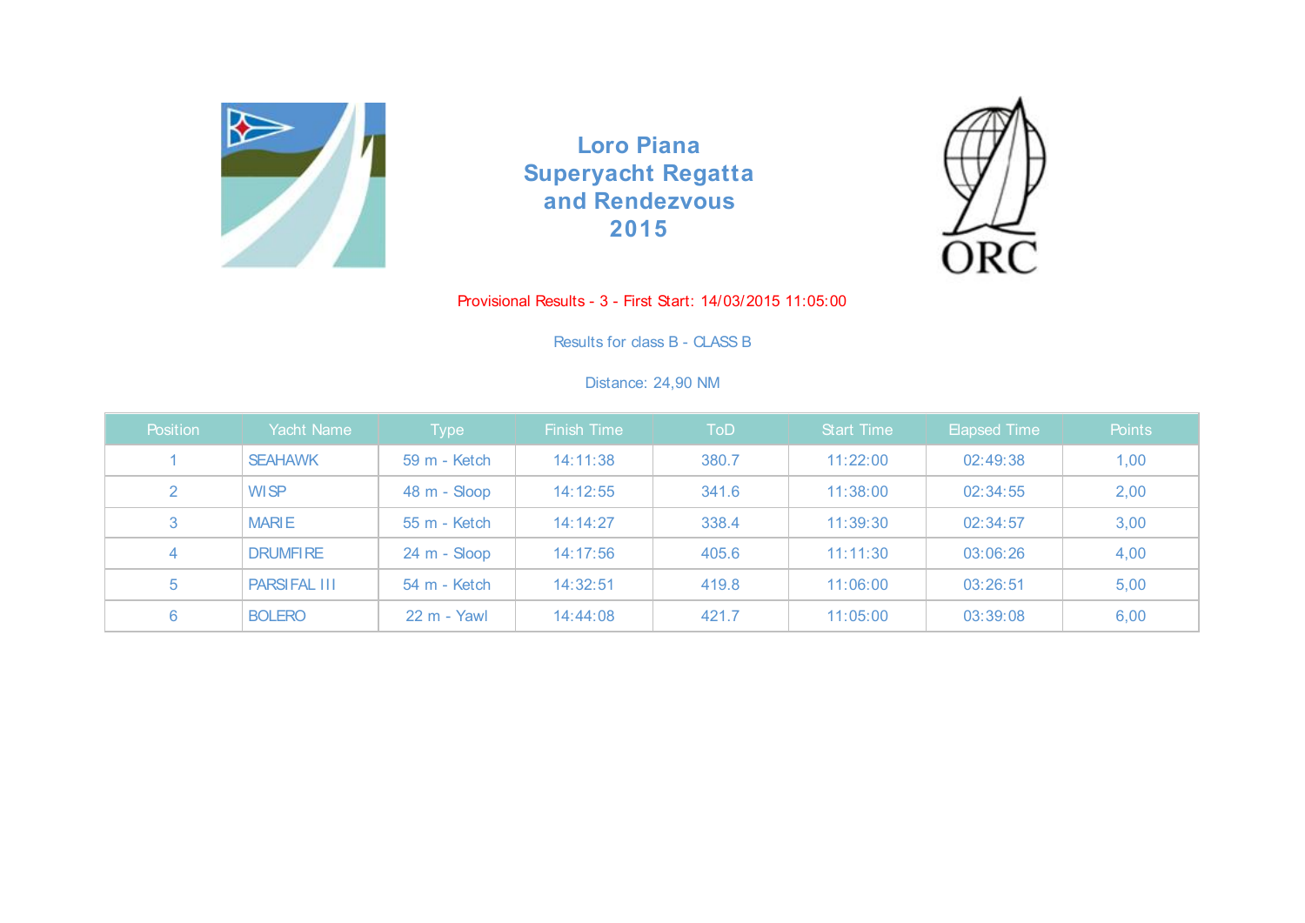



#### Provisional Results - 3 - First Start: 14/03/2015 11:05:00

Results for class B - CLASS B

### Distance: 24,90 NM

| <b>Position</b> | Yacht Name          | Type         | <b>Finish Time</b> | ToD   | <b>Start Time</b> | Elapsed Time | Points |
|-----------------|---------------------|--------------|--------------------|-------|-------------------|--------------|--------|
|                 | <b>SEAHAWK</b>      | 59 m - Ketch | 14:11:38           | 380.7 | 11:22:00          | 02:49:38     | 1,00   |
| 2               | <b>WISP</b>         | 48 m - Sloop | 14:12:55           | 341.6 | 11:38:00          | 02:34:55     | 2,00   |
| 3               | <b>MARIE</b>        | 55 m - Ketch | 14:14:27           | 338.4 | 11:39:30          | 02:34:57     | 3,00   |
| 4               | <b>DRUMFIRE</b>     | 24 m - Sloop | 14:17:56           | 405.6 | 11:11:30          | 03:06:26     | 4,00   |
| 5               | <b>PARSIFAL III</b> | 54 m - Ketch | 14:32:51           | 419.8 | 11:06:00          | 03:26:51     | 5,00   |
| 6               | <b>BOLERO</b>       | 22 m - Yawl  | 14:44:08           | 421.7 | 11:05:00          | 03:39:08     | 6,00   |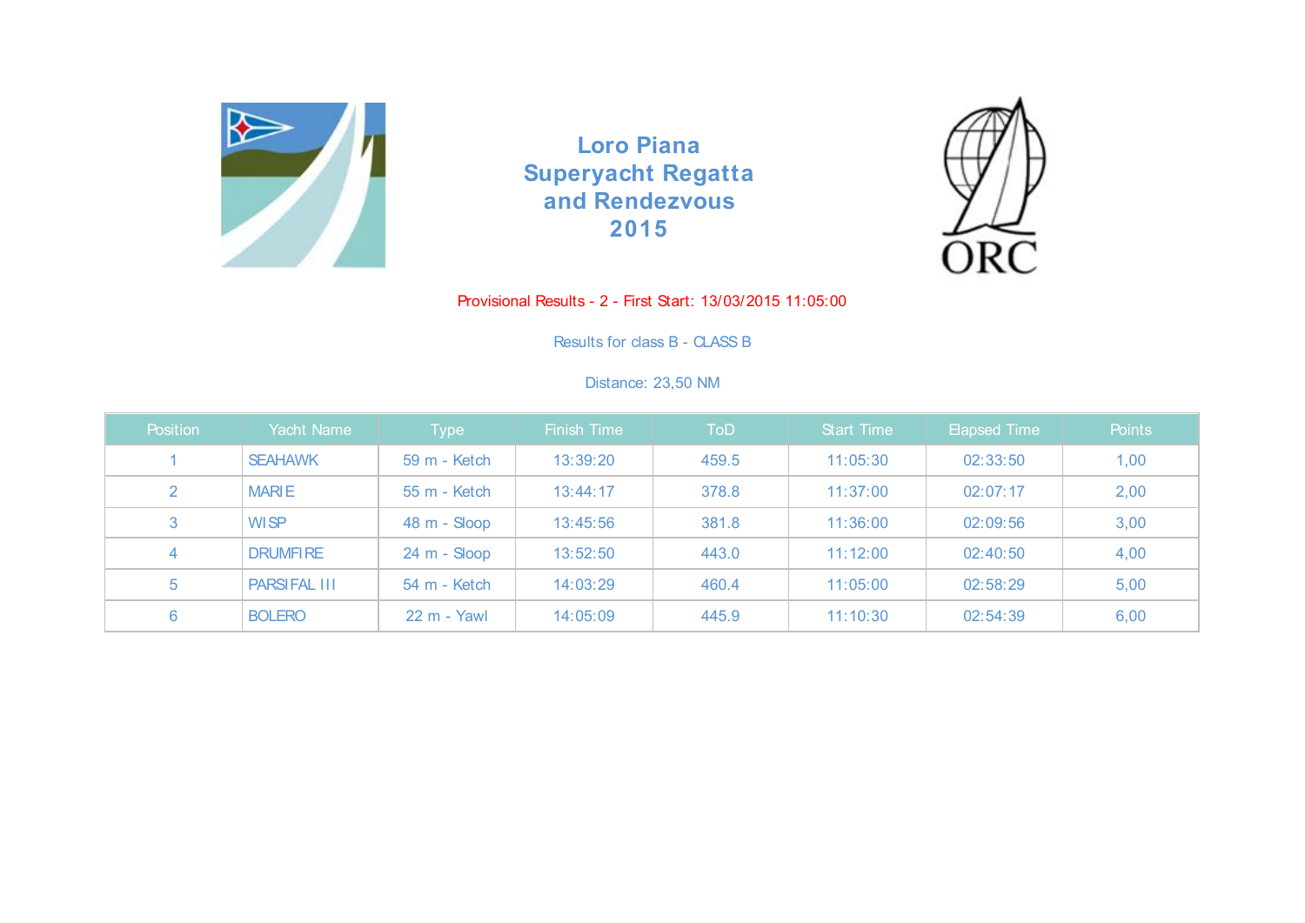



#### Provisional Results - 2 - First Start: 13/03/2015 11:05:00

Results for class B - CLASS B

# Distance: 23,50 NM

| <b>Position</b> | Yacht Name          | Type         | <b>Finish Time</b> | ToD   | <b>Start Time</b> | Elapsed Time | Points |
|-----------------|---------------------|--------------|--------------------|-------|-------------------|--------------|--------|
|                 | <b>SEAHAWK</b>      | 59 m - Ketch | 13:39:20           | 459.5 | 11:05:30          | 02:33:50     | 1,00   |
| 2               | <b>MARIE</b>        | 55 m - Ketch | 13:44:17           | 378.8 | 11:37:00          | 02:07:17     | 2,00   |
| 3               | <b>WISP</b>         | 48 m - Sloop | 13:45:56           | 381.8 | 11:36:00          | 02:09:56     | 3,00   |
| 4               | <b>DRUMFIRE</b>     | 24 m - Sloop | 13:52:50           | 443.0 | 11:12:00          | 02:40:50     | 4,00   |
| 5               | <b>PARSIFAL III</b> | 54 m - Ketch | 14:03:29           | 460.4 | 11:05:00          | 02:58:29     | 5,00   |
| 6               | <b>BOLERO</b>       | 22 m - Yawl  | 14:05:09           | 445.9 | 11:10:30          | 02:54:39     | 6,00   |